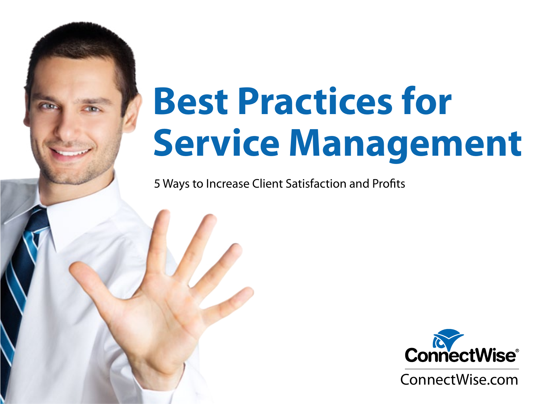## **Best Practices for Service Management**

5 Ways to Increase Client Satisfaction and Profits

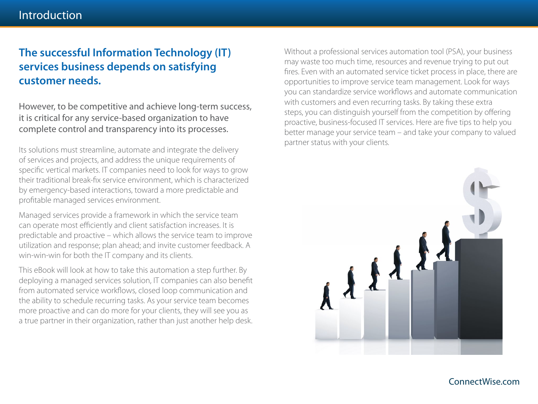#### **The successful Information Technology (IT) services business depends on satisfying customer needs.**

However, to be competitive and achieve long-term success, it is critical for any service-based organization to have complete control and transparency into its processes.

Its solutions must streamline, automate and integrate the delivery of services and projects, and address the unique requirements of specific vertical markets. IT companies need to look for ways to grow their traditional break-fix service environment, which is characterized by emergency-based interactions, toward a more predictable and profitable managed services environment.

Managed services provide a framework in which the service team can operate most efficiently and client satisfaction increases. It is predictable and proactive – which allows the service team to improve utilization and response; plan ahead; and invite customer feedback. A win-win-win for both the IT company and its clients.

This eBook will look at how to take this automation a step further. By deploying a managed services solution, IT companies can also benefit from automated service workflows, closed loop communication and the ability to schedule recurring tasks. As your service team becomes more proactive and can do more for your clients, they will see you as a true partner in their organization, rather than just another help desk.

Without a professional services automation tool (PSA), your business may waste too much time, resources and revenue trying to put out fires. Even with an automated service ticket process in place, there are opportunities to improve service team management. Look for ways you can standardize service workflows and automate communication with customers and even recurring tasks. By taking these extra steps, you can distinguish yourself from the competition by offering proactive, business-focused IT services. Here are five tips to help you better manage your service team – and take your company to valued partner status with your clients.

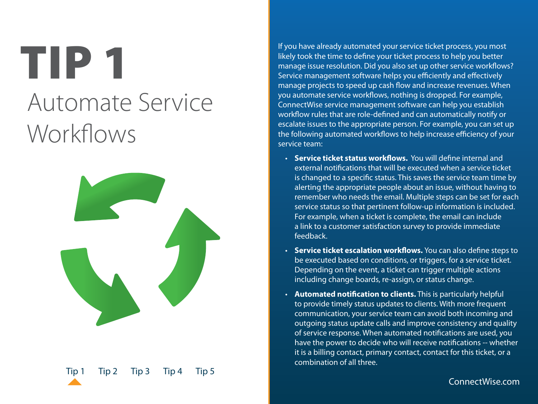### <span id="page-2-0"></span>TIP 1 Automate Service Workflows



If you have already automated your service ticket process, you most likely took the time to define your ticket process to help you better manage issue resolution. Did you also set up other service workflows? Service management software helps you efficiently and effectively manage projects to speed up cash flow and increase revenues. When you automate service workflows, nothing is dropped. For example, ConnectWise service management software can help you establish workflow rules that are role-defined and can automatically notify or escalate issues to the appropriate person. For example, you can set up the following automated workflows to help increase efficiency of your service team:

- • **Service ticket status workflows.** You will define internal and external notifications that will be executed when a service ticket is changed to a specific status. This saves the service team time by alerting the appropriate people about an issue, without having to remember who needs the email. Multiple steps can be set for each service status so that pertinent follow-up information is included. For example, when a ticket is complete, the email can include a link to a customer satisfaction survey to provide immediate feedback.
- • **Service ticket escalation workflows.** You can also define steps to be executed based on conditions, or triggers, for a service ticket. Depending on the event, a ticket can trigger multiple actions including change boards, re-assign, or status change.
- • **Automated notification to clients.** This is particularly helpful to provide timely status updates to clients. With more frequent communication, your service team can avoid both incoming and outgoing status update calls and improve consistency and quality of service response. When automated notifications are used, you have the power to decide who will receive notifications -- whether it is a billing contact, primary contact, contact for this ticket, or a combination of all three.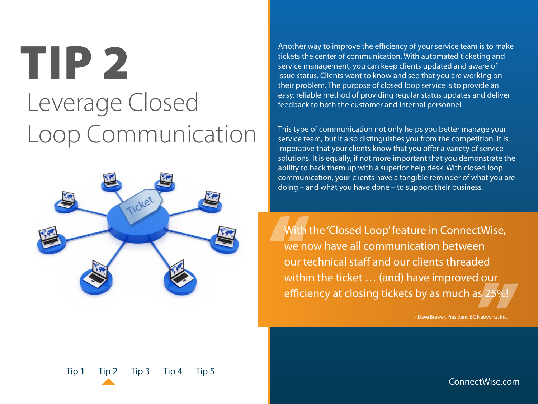### <span id="page-3-0"></span>TIP 2 Leverage Closed Loop Communication



Another way to improve the efficiency of your service team is to make tickets the center of communication. With automated ticketing and service management, you can keep clients updated and aware of issue status. Clients want to know and see that you are working on their problem. The purpose of closed loop service is to provide an easy, reliable method of providing regular status updates and deliver feedback to both the customer and internal personnel.

This type of communication not only helps you better manage your service team, but it also distinguishes you from the competition. It is imperative that your clients know that you offer a variety of service solutions. It is equally, if not more important that you demonstrate the ability to back them up with a superior help desk. With closed loop communication, your clients have a tangible reminder of what you are doing – and what you have done – to support their business.

With the 'Closed Loop' feature in ConnectWise, we now have all communication between our technical staff and our clients threaded within the ticket ... (and) have improved our efficiency at closing tickets by as much as 25%!

- Dave Brewer, President, BC Networks, Inc.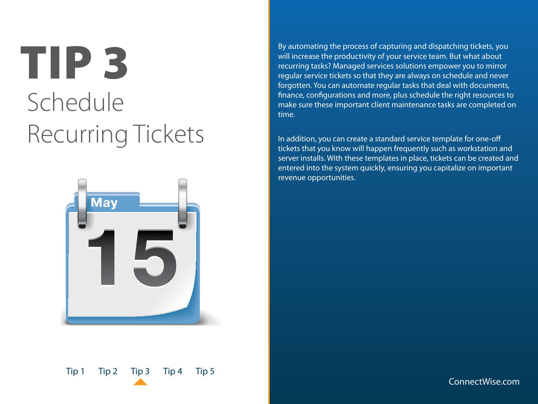### <span id="page-4-0"></span>TIP 3 Schedule Recurring Tickets



By automating the process of capturing and dispatching tickets, you will increase the productivity of your service team. But what about recurring tasks? Managed services solutions empower you to mirror regular service tickets so that they are always on schedule and never forgotten. You can automate regular tasks that deal with documents, finance, configurations and more, plus schedule the right resources to make sure these important client maintenance tasks are completed on time.

In addition, you can create a standard service template for one-off tickets that you know will happen frequently such as workstation and server installs. With these templates in place, tickets can be created and entered into the system quickly, ensuring you capitalize on important revenue opportunities.

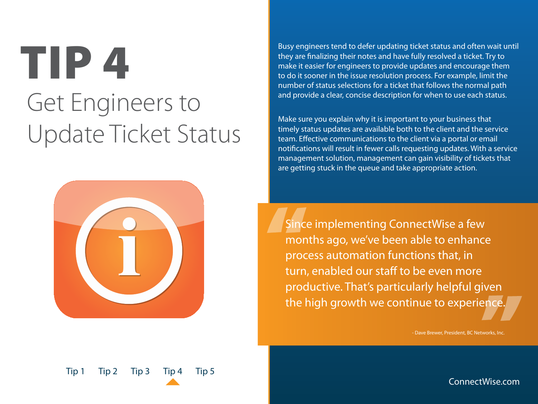### <span id="page-5-0"></span>TIP 4 Get Engineers to Update Ticket Status



Busy engineers tend to defer updating ticket status and often wait until they are finalizing their notes and have fully resolved a ticket. Try to make it easier for engineers to provide updates and encourage them to do it sooner in the issue resolution process. For example, limit the number of status selections for a ticket that follows the normal path and provide a clear, concise description for when to use each status.

Make sure you explain why it is important to your business that timely status updates are available both to the client and the service team. Effective communications to the client via a portal or email notifications will result in fewer calls requesting updates. With a service management solution, management can gain visibility of tickets that are getting stuck in the queue and take appropriate action.

Since implementing ConnectWise a few months ago, we've been able to enhance process automation functions that, in turn, enabled our staff to be even more productive. That's particularly helpful given the high growth we continue to experience.

- Dave Brewer, President, BC Networks, Inc.

[Tip 1](#page-2-0) [Tip 2](#page-3-0) [Tip 3](#page-4-0) Tip 4 [Tip 5](#page-6-0)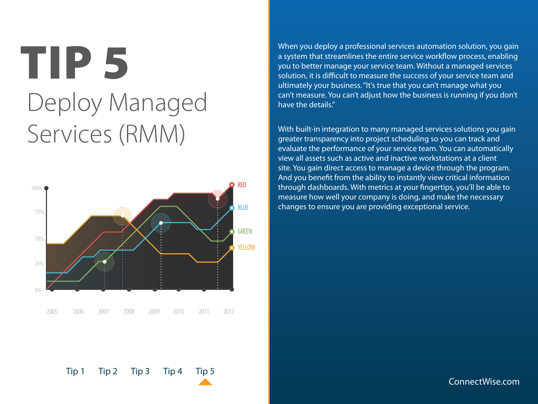### <span id="page-6-0"></span>TIP 5 Deploy Managed Services (RMM)



When you deploy a professional services automation solution, you gain a system that streamlines the entire service workflow process, enabling you to better manage your service team. Without a managed services solution, it is difficult to measure the success of your service team and ultimately your business. "It's true that you can't manage what you can't measure. You can't adjust how the business is running if you don't have the details."

With built-in integration to many managed services solutions you gain greater transparency into project scheduling so you can track and evaluate the performance of your service team. You can automatically view all assets such as active and inactive workstations at a client site. You gain direct access to manage a device through the program. And you benefit from the ability to instantly view critical information through dashboards. With metrics at your fingertips, you'll be able to measure how well your company is doing, and make the necessary changes to ensure you are providing exceptional service.

#### ConnectWise.com

[Tip 1](#page-2-0) [Tip 2](#page-3-0) [Tip 3](#page-4-0) [Tip 4](#page-5-0) Tip 5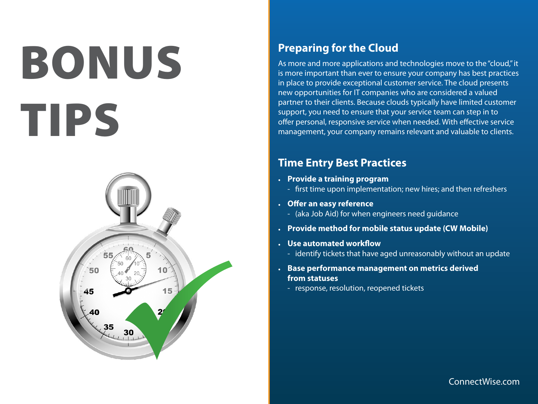# bonus tips



#### **Preparing for the Cloud**

As more and more applications and technologies move to the "cloud," it is more important than ever to ensure your company has best practices in place to provide exceptional customer service. The cloud presents new opportunities for IT companies who are considered a valued partner to their clients. Because clouds typically have limited customer support, you need to ensure that your service team can step in to offer personal, responsive service when needed. With effective service management, your company remains relevant and valuable to clients.

#### **Time Entry Best Practices**

- **• Provide a training program**
	- first time upon implementation; new hires; and then refreshers
- **• Offer an easy reference**
	- (aka Job Aid) for when engineers need guidance
- **• Provide method for mobile status update (CW Mobile)**
- **• Use automated workflow** 
	- identify tickets that have aged unreasonably without an update
- **• Base performance management on metrics derived from statuses**
	- response, resolution, reopened tickets